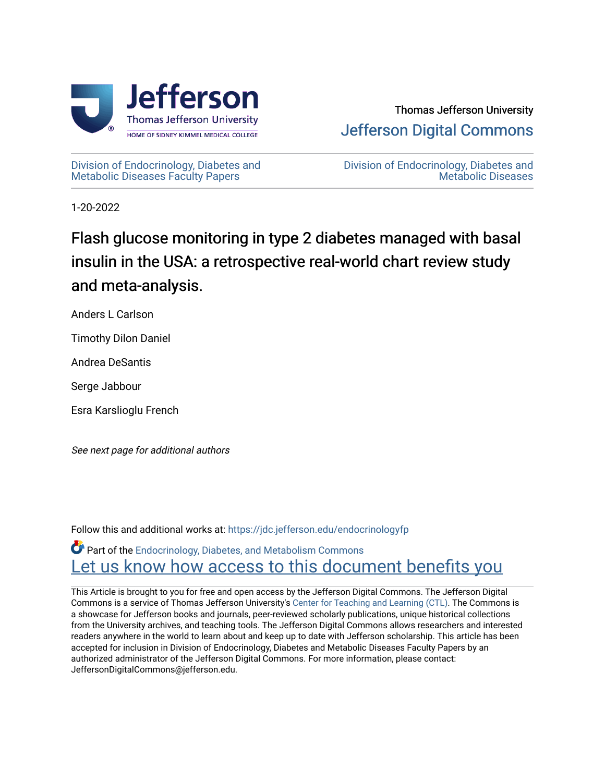

[Division of Endocrinology, Diabetes and](https://jdc.jefferson.edu/endocrinologyfp)  [Metabolic Diseases Faculty Papers](https://jdc.jefferson.edu/endocrinologyfp) 

[Division of Endocrinology, Diabetes and](https://jdc.jefferson.edu/endocrinology)  [Metabolic Diseases](https://jdc.jefferson.edu/endocrinology) 

1-20-2022

# Flash glucose monitoring in type 2 diabetes managed with basal insulin in the USA: a retrospective real-world chart review study and meta-analysis.

Anders L Carlson

Timothy Dilon Daniel

Andrea DeSantis

Serge Jabbour

Esra Karslioglu French

See next page for additional authors

Follow this and additional works at: [https://jdc.jefferson.edu/endocrinologyfp](https://jdc.jefferson.edu/endocrinologyfp?utm_source=jdc.jefferson.edu%2Fendocrinologyfp%2F5&utm_medium=PDF&utm_campaign=PDFCoverPages) 

Part of the [Endocrinology, Diabetes, and Metabolism Commons](http://network.bepress.com/hgg/discipline/686?utm_source=jdc.jefferson.edu%2Fendocrinologyfp%2F5&utm_medium=PDF&utm_campaign=PDFCoverPages) Let us know how access to this document benefits you

This Article is brought to you for free and open access by the Jefferson Digital Commons. The Jefferson Digital Commons is a service of Thomas Jefferson University's [Center for Teaching and Learning \(CTL\)](http://www.jefferson.edu/university/teaching-learning.html/). The Commons is a showcase for Jefferson books and journals, peer-reviewed scholarly publications, unique historical collections from the University archives, and teaching tools. The Jefferson Digital Commons allows researchers and interested readers anywhere in the world to learn about and keep up to date with Jefferson scholarship. This article has been accepted for inclusion in Division of Endocrinology, Diabetes and Metabolic Diseases Faculty Papers by an authorized administrator of the Jefferson Digital Commons. For more information, please contact: JeffersonDigitalCommons@jefferson.edu.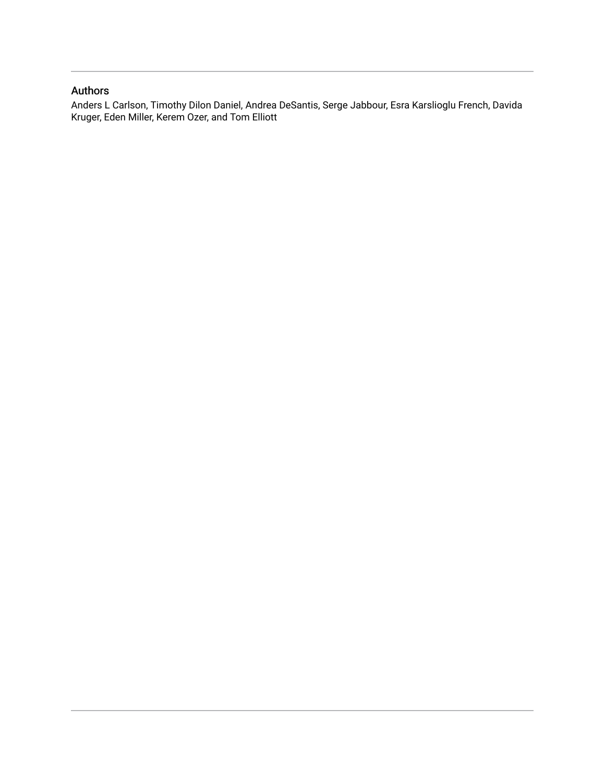## Authors

Anders L Carlson, Timothy Dilon Daniel, Andrea DeSantis, Serge Jabbour, Esra Karslioglu French, Davida Kruger, Eden Miller, Kerem Ozer, and Tom Elliott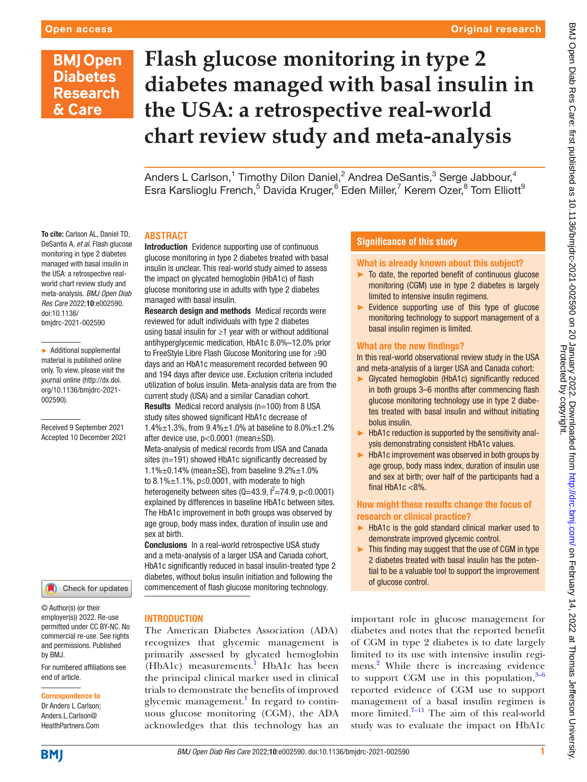#### Original research

# **BMJ Open Diabetes Research** & Care

To cite: Carlson AL, Daniel TD, DeSantis A, *et al*. Flash glucose monitoring in type 2 diabetes managed with basal insulin in the USA: a retrospective realworld chart review study and meta-analysis. *BMJ Open Diab Res Care* 2022;10:e002590.

► Additional supplemental material is published online only. To view, please visit the journal online ([http://dx.doi.](http://dx.doi.org/10.1136/bmjdrc-2021-002590) [org/10.1136/bmjdrc-2021-](http://dx.doi.org/10.1136/bmjdrc-2021-002590)

Received 9 September 2021 Accepted 10 December 2021

doi:10.1136/ bmjdrc-2021-002590

[002590](http://dx.doi.org/10.1136/bmjdrc-2021-002590)).

# **Flash glucose monitoring in type 2 diabetes managed with basal insulin in the USA: a retrospective real-world chart review study and meta-analysis**

Anders L Carlson,<sup>1</sup> Timothy Dilon Daniel,<sup>2</sup> Andrea DeSantis,<sup>3</sup> Serge Jabbour,<sup>4</sup> Esra Karslioglu French,<sup>5</sup> Davida Kruger,<sup>6</sup> Eden Miller,<sup>7</sup> Kerem Ozer,<sup>8</sup> Tom Elliott<sup>9</sup>

#### **ABSTRACT**

Introduction Evidence supporting use of continuous glucose monitoring in type 2 diabetes treated with basal insulin is unclear. This real-world study aimed to assess the impact on glycated hemoglobin (HbA1c) of flash glucose monitoring use in adults with type 2 diabetes managed with basal insulin.

Research design and methods Medical records were reviewed for adult individuals with type 2 diabetes using basal insulin for ≥1 year with or without additional antihyperglycemic medication, HbA1c 8.0%–12.0% prior to FreeStyle Libre Flash Glucose Monitoring use for ≥90 days and an HbA1c measurement recorded between 90 and 194 days after device use. Exclusion criteria included utilization of bolus insulin. Meta-analysis data are from the current study (USA) and a similar Canadian cohort. Results Medical record analysis (n=100) from 8 USA study sites showed significant HbA1c decrease of 1.4%±1.3%, from 9.4%±1.0% at baseline to 8.0%±1.2% after device use, p<0.0001 (mean±SD). Meta-analysis of medical records from USA and Canada sites (n=191) showed HbA1c significantly decreased by 1.1%±0.14% (mean±SE), from baseline 9.2%±1.0% to  $8.1\% \pm 1.1\%$ , p≤0.0001, with moderate to high heterogeneity between sites  $(Q=43.9, l^2=74.9, p<0.0001)$ explained by differences in baseline HbA1c between sites. The HbA1c improvement in both groups was observed by age group, body mass index, duration of insulin use and sex at birth.

Conclusions In a real-world retrospective USA study and a meta-analysis of a larger USA and Canada cohort, HbA1c significantly reduced in basal insulin-treated type 2 diabetes, without bolus insulin initiation and following the commencement of flash glucose monitoring technology.

Check for updates

© Author(s) (or their employer(s)) 2022. Re-use permitted under CC BY-NC. No commercial re-use. See rights and permissions. Published by BMJ.

For numbered affiliations see end of article.

#### Correspondence to

Dr Anders L Carlson; Anders.L.Carlson@ HealthPartners.Com

#### **INTRODUCTION**

The American Diabetes Association (ADA) recognizes that glycemic management is primarily assessed by glycated hemoglobin  $(HbA1c)$  measurements.<sup>1</sup> HbA1c has been the principal clinical marker used in clinical trials to demonstrate the benefits of improved glycemic management.<sup>1</sup> In regard to continuous glucose monitoring (CGM), the ADA acknowledges that this technology has an

#### **Significance of this study**

#### What is already known about this subject?

- ► To date, the reported benefit of continuous glucose monitoring (CGM) use in type 2 diabetes is largely limited to intensive insulin regimens.
- ► Evidence supporting use of this type of glucose monitoring technology to support management of a basal insulin regimen is limited.

#### What are the new findings?

In this real-world observational review study in the USA and meta-analysis of a larger USA and Canada cohort:

- Glycated hemoglobin (HbA1c) significantly reduced in both groups 3–6 months after commencing flash glucose monitoring technology use in type 2 diabetes treated with basal insulin and without initiating bolus insulin.
- ► HbA1c reduction is supported by the sensitivity analysis demonstrating consistent HbA1c values.
- ► HbA1c improvement was observed in both groups by age group, body mass index, duration of insulin use and sex at birth; over half of the participants had a final HbA1c <8%.

#### How might these results change the focus of research or clinical practice?

- ► HbA1c is the gold standard clinical marker used to demonstrate improved glycemic control.
- ► This finding may suggest that the use of CGM in type 2 diabetes treated with basal insulin has the potential to be a valuable tool to support the improvement of glucose control.

important role in glucose management for diabetes and notes that the reported benefit of CGM in type 2 diabetes is to date largely limited to its use with intensive insulin regimens.<sup>2</sup> While there is increasing evidence to support CGM use in this population, $3-6$ reported evidence of CGM use to support management of a basal insulin regimen is more limited.<sup>7-11</sup> The aim of this real-world study was to evaluate the impact on HbA1c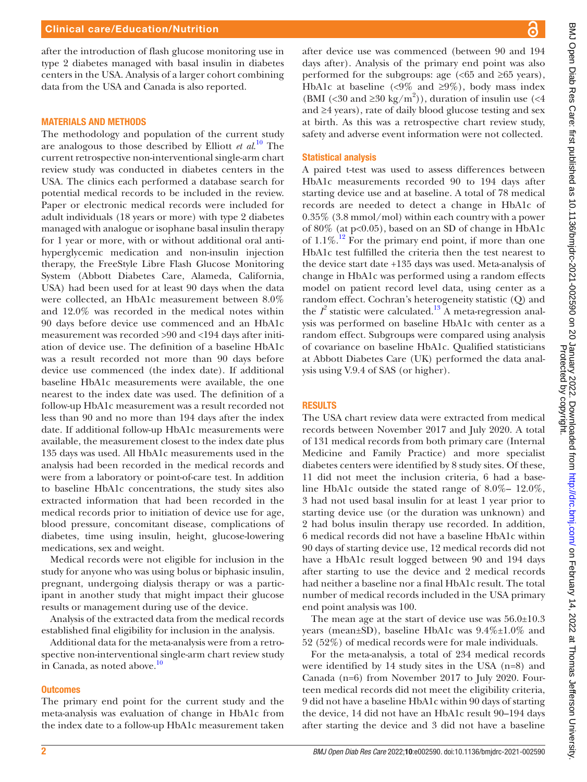#### Clinical care/Education/Nutrition

after the introduction of flash glucose monitoring use in type 2 diabetes managed with basal insulin in diabetes centers in the USA. Analysis of a larger cohort combining data from the USA and Canada is also reported.

#### MATERIALS AND METHODS

The methodology and population of the current study are analogous to those described by Elliott *et al*. [10](#page-8-4) The current retrospective non-interventional single-arm chart review study was conducted in diabetes centers in the USA. The clinics each performed a database search for potential medical records to be included in the review. Paper or electronic medical records were included for adult individuals (18 years or more) with type 2 diabetes managed with analogue or isophane basal insulin therapy for 1 year or more, with or without additional oral antihyperglycemic medication and non-insulin injection therapy, the FreeStyle Libre Flash Glucose Monitoring System (Abbott Diabetes Care, Alameda, California, USA) had been used for at least 90 days when the data were collected, an HbA1c measurement between 8.0% and 12.0% was recorded in the medical notes within 90 days before device use commenced and an HbA1c measurement was recorded >90 and <194 days after initiation of device use. The definition of a baseline HbA1c was a result recorded not more than 90 days before device use commenced (the index date). If additional baseline HbA1c measurements were available, the one nearest to the index date was used. The definition of a follow-up HbA1c measurement was a result recorded not less than 90 and no more than 194 days after the index date. If additional follow-up HbA1c measurements were available, the measurement closest to the index date plus 135 days was used. All HbA1c measurements used in the analysis had been recorded in the medical records and were from a laboratory or point-of-care test. In addition to baseline HbA1c concentrations, the study sites also extracted information that had been recorded in the medical records prior to initiation of device use for age, blood pressure, concomitant disease, complications of diabetes, time using insulin, height, glucose-lowering medications, sex and weight.

Medical records were not eligible for inclusion in the study for anyone who was using bolus or biphasic insulin, pregnant, undergoing dialysis therapy or was a participant in another study that might impact their glucose results or management during use of the device.

Analysis of the extracted data from the medical records established final eligibility for inclusion in the analysis.

Additional data for the meta-analysis were from a retrospective non-interventional single-arm chart review study in Canada, as noted above. $10$ 

#### **Outcomes**

The primary end point for the current study and the meta-analysis was evaluation of change in HbA1c from the index date to a follow-up HbA1c measurement taken

after device use was commenced (between 90 and 194 days after). Analysis of the primary end point was also performed for the subgroups: age  $\left( \langle 65 \rangle \right)$  and  $\geq 65$  years), HbA1c at baseline (<9% and  $\geq$ 9%), body mass index (BMI (<30 and  $\geq$ 30 kg/m<sup>2</sup>)), duration of insulin use (<4 and ≥4 years), rate of daily blood glucose testing and sex at birth. As this was a retrospective chart review study, safety and adverse event information were not collected.

#### Statistical analysis

A paired t-test was used to assess differences between HbA1c measurements recorded 90 to 194 days after starting device use and at baseline. A total of 78 medical records are needed to detect a change in HbA1c of 0.35% (3.8 mmol/mol) within each country with a power of  $80\%$  (at  $p<0.05$ ), based on an SD of change in HbA1c of  $1.1\%$ .<sup>12</sup> For the primary end point, if more than one HbA1c test fulfilled the criteria then the test nearest to the device start date +135 days was used. Meta-analysis of change in HbA1c was performed using a random effects model on patient record level data, using center as a random effect. Cochran's heterogeneity statistic (Q) and the  $I^2$  statistic were calculated.<sup>[13](#page-8-6)</sup> A meta-regression analysis was performed on baseline HbA1c with center as a random effect. Subgroups were compared using analysis of covariance on baseline HbA1c. Qualified statisticians at Abbott Diabetes Care (UK) performed the data analysis using V.9.4 of SAS (or higher).

#### **RESULTS**

The USA chart review data were extracted from medical records between November 2017 and July 2020. A total of 131 medical records from both primary care (Internal Medicine and Family Practice) and more specialist diabetes centers were identified by 8 study sites. Of these, 11 did not meet the inclusion criteria, 6 had a baseline HbA1c outside the stated range of 8.0%– 12.0%, 3 had not used basal insulin for at least 1 year prior to starting device use (or the duration was unknown) and 2 had bolus insulin therapy use recorded. In addition, 6 medical records did not have a baseline HbA1c within 90 days of starting device use, 12 medical records did not have a HbA1c result logged between 90 and 194 days after starting to use the device and 2 medical records had neither a baseline nor a final HbA1c result. The total number of medical records included in the USA primary end point analysis was 100.

The mean age at the start of device use was  $56.0 \pm 10.3$ years (mean $\pm$ SD), baseline HbA1c was  $9.4\% \pm 1.0\%$  and 52 (52%) of medical records were for male individuals.

For the meta-analysis, a total of 234 medical records were identified by 14 study sites in the USA (n=8) and Canada (n=6) from November 2017 to July 2020. Fourteen medical records did not meet the eligibility criteria, 9 did not have a baseline HbA1c within 90 days of starting the device, 14 did not have an HbA1c result 90–194 days after starting the device and 3 did not have a baseline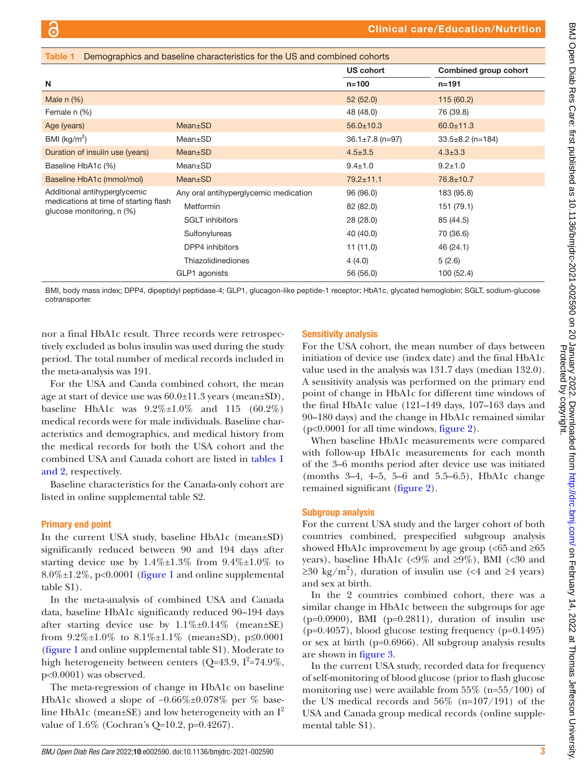<span id="page-4-0"></span>

| Demographics and baseline characteristics for the US and combined cohorts<br>Table 1               |                                       |                       |                        |  |
|----------------------------------------------------------------------------------------------------|---------------------------------------|-----------------------|------------------------|--|
|                                                                                                    |                                       | <b>US cohort</b>      | Combined group cohort  |  |
| N                                                                                                  |                                       | $n = 100$             | $n = 191$              |  |
| Male $n$ $(\%)$                                                                                    |                                       | 52(52.0)              | 115(60.2)              |  |
| Female n (%)                                                                                       |                                       | 48 (48.0)             | 76 (39.8)              |  |
| Age (years)                                                                                        | Mean±SD                               | $56.0 \pm 10.3$       | $60.0 \pm 11.3$        |  |
| BMI ( $\text{kg/m}^2$ )                                                                            | Mean±SD                               | $36.1 \pm 7.8$ (n=97) | $33.5 \pm 8.2$ (n=184) |  |
| Duration of insulin use (years)                                                                    | Mean±SD                               | $4.5 \pm 3.5$         | $4.3 \pm 3.3$          |  |
| Baseline HbA1c (%)                                                                                 | Mean±SD                               | $9.4 \pm 1.0$         | $9.2 + 1.0$            |  |
| Baseline HbA1c (mmol/mol)                                                                          | Mean±SD                               | $79.2 \pm 11.1$       | 76.8±10.7              |  |
| Additional antihyperglycemic<br>medications at time of starting flash<br>glucose monitoring, n (%) | Any oral antihyperglycemic medication | 96 (96.0)             | 183 (95.8)             |  |
|                                                                                                    | <b>Metformin</b>                      | 82 (82.0)             | 151 (79.1)             |  |
|                                                                                                    | <b>SGLT</b> inhibitors                | 28 (28.0)             | 85 (44.5)              |  |
|                                                                                                    | Sulfonylureas                         | 40 (40.0)             | 70 (36.6)              |  |
|                                                                                                    | DPP4 inhibitors                       | 11(11.0)              | 46 (24.1)              |  |
|                                                                                                    | Thiazolidinediones                    | 4(4.0)                | 5(2.6)                 |  |
|                                                                                                    | GLP1 agonists                         | 56 (56.0)             | 100 (52.4)             |  |

BMI, body mass index; DPP4, dipeptidyl peptidase‐4; GLP1, glucagon-like peptide-1 receptor; HbA1c, glycated hemoglobin; SGLT, sodium-glucose cotransporter.

nor a final HbA1c result. Three records were retrospectively excluded as bolus insulin was used during the study period. The total number of medical records included in the meta-analysis was 191.

For the USA and Canda combined cohort, the mean age at start of device use was 60.0±11.3 years (mean±SD), baseline HbA1c was  $9.2\% \pm 1.0\%$  and 115 (60.2%) medical records were for male individuals. Baseline characteristics and demographics, and medical history from the medical records for both the USA cohort and the combined USA and Canada cohort are listed in [tables](#page-4-0) 1 [and 2](#page-4-0), respectively.

Baseline characteristics for the Canada-only cohort are listed in [online supplemental table S2](https://dx.doi.org/10.1136/bmjdrc-2021-002590).

#### Primary end point

In the current USA study, baseline HbA1c (mean±SD) significantly reduced between 90 and 194 days after starting device use by  $1.4\% \pm 1.3\%$  from  $9.4\% \pm 1.0\%$  to 8.0%±1.2%, p<0.0001 ([figure](#page-5-0) 1 and [online supplemental](https://dx.doi.org/10.1136/bmjdrc-2021-002590) [table S1](https://dx.doi.org/10.1136/bmjdrc-2021-002590)).

In the meta-analysis of combined USA and Canada data, baseline HbA1c significantly reduced 90–194 days after starting device use by  $1.1\% \pm 0.14\%$  (mean $\pm$ SE) from  $9.2\% \pm 1.0\%$  to  $8.1\% \pm 1.1\%$  (mean $\pm SD$ ), p $\leq 0.0001$ [\(figure](#page-5-0) 1 and [online supplemental table S1](https://dx.doi.org/10.1136/bmjdrc-2021-002590)). Moderate to high heterogeneity between centers ( $Q=43.9$ ,  $I^2=74.9\%$ , p<0.0001) was observed.

The meta-regression of change in HbA1c on baseline HbA1c showed a slope of −0.66%±0.078% per % baseline HbA1c (mean $\pm$ SE) and low heterogeneity with an I<sup>2</sup> value of 1.6% (Cochran's Q=10.2, p=0.4267).

### Sensitivity analysis

For the USA cohort, the mean number of days between initiation of device use (index date) and the final HbA1c value used in the analysis was 131.7 days (median 132.0). A sensitivity analysis was performed on the primary end point of change in HbA1c for different time windows of the final HbA1c value (121–149 days, 107–163 days and 90–180 days) and the change in HbA1c remained similar (p<0.0001 for all time windows, [figure](#page-5-1) 2).

When baseline HbA1c measurements were compared with follow-up HbA1c measurements for each month of the 3–6 months period after device use was initiated (months 3–4, 4–5, 5–6 and 5.5–6.5), HbA1c change remained significant [\(figure](#page-5-1) 2).

#### Subgroup analysis

For the current USA study and the larger cohort of both countries combined, prespecified subgroup analysis showed HbA1c improvement by age group (<65 and  $\geq 65$ years), baseline HbA1c (<9% and  $\geq 9\%$ ), BMI (<30 and  $\geq$ 30 kg/m<sup>2</sup>), duration of insulin use (<4 and ≥4 years) and sex at birth.

In the 2 countries combined cohort, there was a similar change in HbA1c between the subgroups for age  $(p=0.0900)$ , BMI  $(p=0.2811)$ , duration of insulin use  $(p=0.4057)$ , blood glucose testing frequency  $(p=0.1495)$ or sex at birth (p=0.6966). All subgroup analysis results are shown in [figure](#page-6-0) 3.

In the current USA study, recorded data for frequency of self-monitoring of blood glucose (prior to flash glucose monitoring use) were available from  $55\%$  (n= $55/100$ ) of the US medical records and  $56\%$  (n=107/191) of the USA and Canada group medical records [\(online supple](https://dx.doi.org/10.1136/bmjdrc-2021-002590)[mental table S1](https://dx.doi.org/10.1136/bmjdrc-2021-002590)).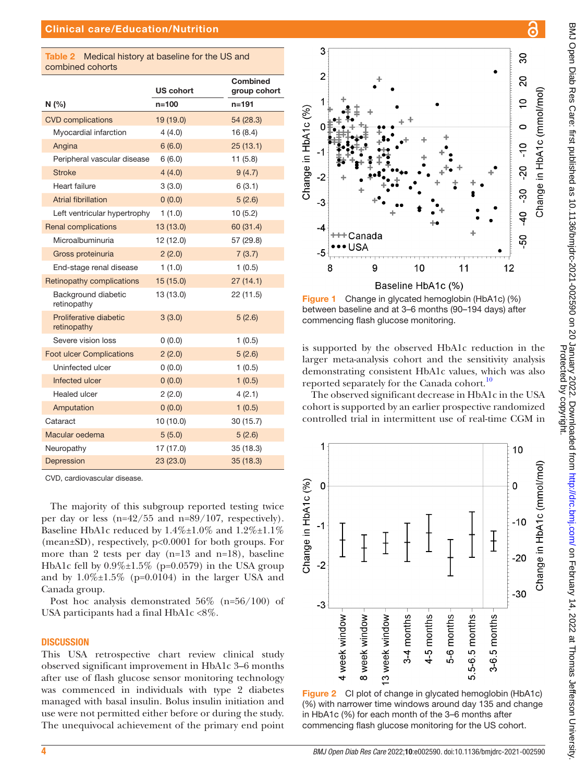<span id="page-5-2"></span>

| <b>Table 2</b> Medical history at baseline for the US and |
|-----------------------------------------------------------|
| combined cohorts                                          |

|                                       | US cohort | <b>Combined</b><br>group cohort |
|---------------------------------------|-----------|---------------------------------|
| N(%                                   | n=100     | $n = 191$                       |
| <b>CVD</b> complications              | 19 (19.0) | 54 (28.3)                       |
| Myocardial infarction                 | 4(4.0)    | 16(8.4)                         |
| Angina                                | 6(6.0)    | 25(13.1)                        |
| Peripheral vascular disease           | 6(6.0)    | 11(5.8)                         |
| <b>Stroke</b>                         | 4(4.0)    | 9(4.7)                          |
| Heart failure                         | 3(3.0)    | 6(3.1)                          |
| <b>Atrial fibrillation</b>            | 0(0.0)    | 5(2.6)                          |
| Left ventricular hypertrophy          | 1(1.0)    | 10(5.2)                         |
| <b>Renal complications</b>            | 13 (13.0) | 60 (31.4)                       |
| Microalbuminuria                      | 12 (12.0) | 57 (29.8)                       |
| Gross proteinuria                     | 2(2.0)    | 7(3.7)                          |
| End-stage renal disease               | 1(1.0)    | 1(0.5)                          |
| Retinopathy complications             | 15(15.0)  | 27(14.1)                        |
| Background diabetic<br>retinopathy    | 13 (13.0) | 22 (11.5)                       |
| Proliferative diabetic<br>retinopathy | 3(3.0)    | 5(2.6)                          |
| Severe vision loss                    | 0(0.0)    | 1(0.5)                          |
| <b>Foot ulcer Complications</b>       | 2(2.0)    | 5(2.6)                          |
| Uninfected ulcer                      | 0(0.0)    | 1(0.5)                          |
| Infected ulcer                        | 0(0.0)    | 1(0.5)                          |
| <b>Healed ulcer</b>                   | 2(2.0)    | 4(2.1)                          |
| Amputation                            | 0(0.0)    | 1(0.5)                          |
| Cataract                              | 10 (10.0) | 30(15.7)                        |
| Macular oedema                        | 5(5.0)    | 5(2.6)                          |
| Neuropathy                            | 17 (17.0) | 35(18.3)                        |
| Depression                            | 23 (23.0) | 35(18.3)                        |

CVD, cardiovascular disease.

The majority of this subgroup reported testing twice per day or less (n=42/55 and n=89/107, respectively). Baseline HbA1c reduced by  $1.4\% \pm 1.0\%$  and  $1.2\% \pm 1.1\%$ (mean±SD), respectively, p<0.0001 for both groups. For more than 2 tests per day (n=13 and n=18), baseline HbA1c fell by  $0.9\% \pm 1.5\%$  (p=0.0579) in the USA group and by  $1.0\% \pm 1.5\%$  (p=0.0104) in the larger USA and Canada group.

Post hoc analysis demonstrated 56% (n=56/100) of USA participants had a final HbA1c <8%.

#### **DISCUSSION**

This USA retrospective chart review clinical study observed significant improvement in HbA1c 3–6 months after use of flash glucose sensor monitoring technology was commenced in individuals with type 2 diabetes managed with basal insulin. Bolus insulin initiation and use were not permitted either before or during the study. The unequivocal achievement of the primary end point



<span id="page-5-0"></span>Figure 1 Change in glycated hemoglobin (HbA1c) (%) between baseline and at 3–6 months (90–194 days) after commencing flash glucose monitoring.

is supported by the observed HbA1c reduction in the larger meta-analysis cohort and the sensitivity analysis demonstrating consistent HbA1c values, which was also reported separately for the Canada cohort.<sup>10</sup>

The observed significant decrease in HbA1c in the USA cohort is supported by an earlier prospective randomized controlled trial in intermittent use of real-time CGM in



<span id="page-5-1"></span>Figure 2 CI plot of change in glycated hemoglobin (HbA1c) (%) with narrower time windows around day 135 and change in HbA1c (%) for each month of the 3–6 months after commencing flash glucose monitoring for the US cohort.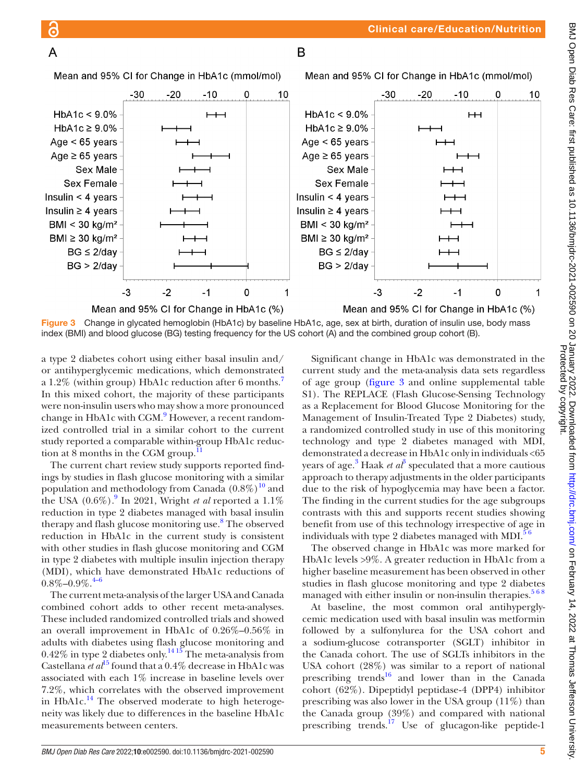Significant change in HbA1c was demonstrated in the current study and the meta-analysis data sets regardless of age group ([figure](#page-6-0) 3 and [online supplemental table](https://dx.doi.org/10.1136/bmjdrc-2021-002590) [S1](https://dx.doi.org/10.1136/bmjdrc-2021-002590)). The REPLACE (Flash Glucose-Sensing Technology as a Replacement for Blood Glucose Monitoring for the Management of Insulin-Treated Type 2 Diabetes) study, a randomized controlled study in use of this monitoring technology and type 2 diabetes managed with MDI, demonstrated a decrease in HbA1c only in individuals <65 years of age. $3$  Haak *et al*<sup>3</sup> speculated that a more cautious approach to therapy adjustments in the older participants due to the risk of hypoglycemia may have been a factor. The finding in the current studies for the age subgroups contrasts with this and supports recent studies showing benefit from use of this technology irrespective of age in individuals with type 2 diabetes managed with MDI. $56$ 

The observed change in HbA1c was more marked for HbA1c levels >9%. A greater reduction in HbA1c from a higher baseline measurement has been observed in other studies in flash glucose monitoring and type 2 diabetes managed with either insulin or non-insulin therapies. $568$ 

At baseline, the most common oral antihyperglycemic medication used with basal insulin was metformin followed by a sulfonylurea for the USA cohort and a sodium-glucose cotransporter (SGLT) inhibitor in the Canada cohort. The use of SGLTs inhibitors in the USA cohort (28%) was similar to a report of national prescribing trends<sup>16</sup> and lower than in the Canada cohort (62%). Dipeptidyl peptidase‐4 (DPP4) inhibitor prescribing was also lower in the USA group (11%) than the Canada group (39%) and compared with national prescribing trends.<sup>[17](#page-8-15)</sup> Use of glucagon-like peptide-1

<span id="page-6-0"></span>Figure 3 Change in glycated hemoglobin (HbA1c) by baseline HbA1c, age, sex at birth, duration of insulin use, body mass index (BMI) and blood glucose (BG) testing frequency for the US cohort (A) and the combined group cohort (B).

a type 2 diabetes cohort using either basal insulin and/ or antihyperglycemic medications, which demonstrated a 1.2% (within group) HbA1c reduction after 6 months.[7](#page-8-3) In this mixed cohort, the majority of these participants were non-insulin users who may show a more pronounced change in HbA1c with CGM.<sup>[9](#page-8-7)</sup> However, a recent randomized controlled trial in a similar cohort to the current study reported a comparable within-group HbA1c reduction at 8 months in the CGM group. $^{11}$  $^{11}$  $^{11}$ 

Mean and 95% CI for Change in HbA1c (mmol/mol)

The current chart review study supports reported findings by studies in flash glucose monitoring with a similar population and methodology from Canada  $(0.8\%)^{10}$  and the USA  $(0.6\%)$ .<sup>[9](#page-8-7)</sup> In 2021, Wright *et al* reported a  $1.1\%$ reduction in type 2 diabetes managed with basal insulin therapy and flash glucose monitoring use.<sup>[8](#page-8-9)</sup> The observed reduction in HbA1c in the current study is consistent with other studies in flash glucose monitoring and CGM in type 2 diabetes with multiple insulin injection therapy (MDI), which have demonstrated HbA1c reductions of  $0.8\%$ – $0.9\%$ .<sup>[4–6](#page-8-10)</sup>

The current meta-analysis of the larger USA and Canada combined cohort adds to other recent meta-analyses. These included randomized controlled trials and showed an overall improvement in HbA1c of 0.26%–0.56% in adults with diabetes using flash glucose monitoring and  $0.42\%$  in type 2 diabetes only.<sup>1415</sup> The meta-analysis from Castellana *et al*<sup>[15](#page-8-12)</sup> found that a 0.4% decrease in HbA1c was associated with each 1% increase in baseline levels over 7.2%, which correlates with the observed improvement in HbA1c. $<sup>14</sup>$  The observed moderate to high heteroge-</sup> neity was likely due to differences in the baseline HbA1c measurements between centers.

Mean and 95% CI for Change in HbA1c (mmol/mol)  $-30$  $-20$  $-10$  $\mathbf 0$ 

1



<sub>R</sub>

 $\overline{A}$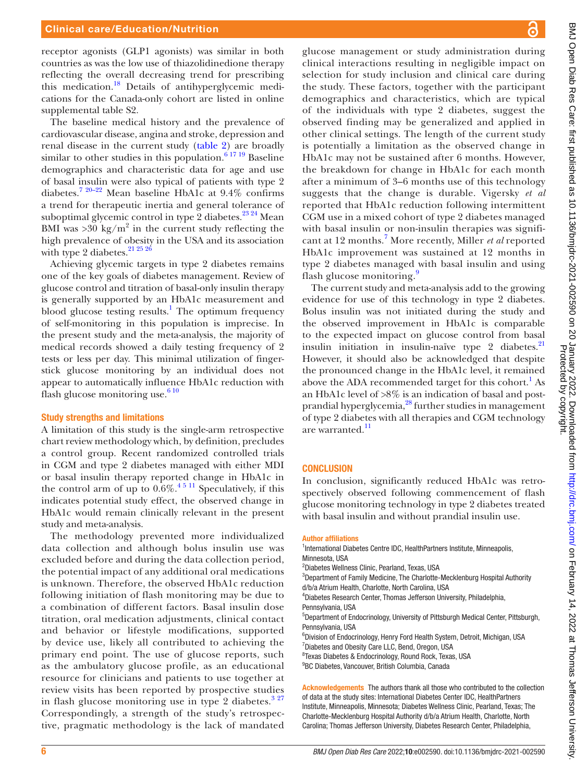receptor agonists (GLP1 agonists) was similar in both countries as was the low use of thiazolidinedione therapy reflecting the overall decreasing trend for prescribing this medication[.18](#page-8-16) Details of antihyperglycemic medications for the Canada-only cohort are listed in [online](https://dx.doi.org/10.1136/bmjdrc-2021-002590) [supplemental table S2](https://dx.doi.org/10.1136/bmjdrc-2021-002590).

The baseline medical history and the prevalence of cardiovascular disease, angina and stroke, depression and renal disease in the current study ([table](#page-5-2) 2) are broadly similar to other studies in this population. $6^{17}$ <sup>19</sup> Baseline demographics and characteristic data for age and use of basal insulin were also typical of patients with type 2 diabetes.[7 20–22](#page-8-3) Mean baseline HbA1c at 9.4% confirms a trend for therapeutic inertia and general tolerance of suboptimal glycemic control in type 2 diabetes. $2^{324}$  Mean BMI was  $>$ 30 kg/m<sup>2</sup> in the current study reflecting the high prevalence of obesity in the USA and its association with type 2 diabetes. $21\,25\,26$ 

Achieving glycemic targets in type 2 diabetes remains one of the key goals of diabetes management. Review of glucose control and titration of basal-only insulin therapy is generally supported by an HbA1c measurement and blood glucose testing results.<sup>[1](#page-8-0)</sup> The optimum frequency of self-monitoring in this population is imprecise. In the present study and the meta-analysis, the majority of medical records showed a daily testing frequency of 2 tests or less per day. This minimal utilization of fingerstick glucose monitoring by an individual does not appear to automatically influence HbA1c reduction with flash glucose monitoring use. $610$ 

#### Study strengths and limitations

A limitation of this study is the single-arm retrospective chart review methodology which, by definition, precludes a control group. Recent randomized controlled trials in CGM and type 2 diabetes managed with either MDI or basal insulin therapy reported change in HbA1c in the control arm of up to  $0.6\%$ .<sup>45 11</sup> Speculatively, if this indicates potential study effect, the observed change in HbA1c would remain clinically relevant in the present study and meta-analysis.

The methodology prevented more individualized data collection and although bolus insulin use was excluded before and during the data collection period, the potential impact of any additional oral medications is unknown. Therefore, the observed HbA1c reduction following initiation of flash monitoring may be due to a combination of different factors. Basal insulin dose titration, oral medication adjustments, clinical contact and behavior or lifestyle modifications, supported by device use, likely all contributed to achieving the primary end point. The use of glucose reports, such as the ambulatory glucose profile, as an educational resource for clinicians and patients to use together at review visits has been reported by prospective studies in flash glucose monitoring use in type 2 diabetes. $327$ Correspondingly, a strength of the study's retrospective, pragmatic methodology is the lack of mandated glucose management or study administration during clinical interactions resulting in negligible impact on selection for study inclusion and clinical care during the study. These factors, together with the participant demographics and characteristics, which are typical of the individuals with type 2 diabetes, suggest the observed finding may be generalized and applied in other clinical settings. The length of the current study is potentially a limitation as the observed change in HbA1c may not be sustained after 6 months. However, the breakdown for change in HbA1c for each month after a minimum of 3–6 months use of this technology suggests that the change is durable. Vigersky *et al* reported that HbA1c reduction following intermittent CGM use in a mixed cohort of type 2 diabetes managed with basal insulin or non-insulin therapies was signifi-cant at 12 months.<sup>[7](#page-8-3)</sup> More recently, Miller *et al* reported HbA1c improvement was sustained at 12 months in type 2 diabetes managed with basal insulin and using flash glucose monitoring.<sup>[9](#page-8-7)</sup>

The current study and meta-analysis add to the growing evidence for use of this technology in type 2 diabetes. Bolus insulin was not initiated during the study and the observed improvement in HbA1c is comparable to the expected impact on glucose control from basal insulin initiation in insulin-naïve type  $2$  diabetes.<sup>21</sup> However, it should also be acknowledged that despite the pronounced change in the HbA1c level, it remained above the ADA recommended target for this cohort.<sup>[1](#page-8-0)</sup> As an HbA1c level of >8% is an indication of basal and postprandial hyperglycemia[,28](#page-9-0) further studies in management of type 2 diabetes with all therapies and CGM technology are warranted.<sup>[11](#page-8-8)</sup>

#### **CONCLUSION**

In conclusion, significantly reduced HbA1c was retrospectively observed following commencement of flash glucose monitoring technology in type 2 diabetes treated with basal insulin and without prandial insulin use.

#### Author affiliations

- <sup>1</sup>International Diabetes Centre IDC, HealthPartners Institute, Minneapolis, Minnesota, USA
- 2 Diabetes Wellness Clinic, Pearland, Texas, USA
- <sup>3</sup>Department of Family Medicine, The Charlotte-Mecklenburg Hospital Authority
- d/b/a Atrium Health, Charlotte, North Carolina, USA
- 4 Diabetes Research Center, Thomas Jefferson University, Philadelphia, Pennsylvania, USA
- 5 Department of Endocrinology, University of Pittsburgh Medical Center, Pittsburgh, Pennsylvania, USA
- 6 Division of Endocrinology, Henry Ford Health System, Detroit, Michigan, USA
- <sup>7</sup> Diabetes and Obesity Care LLC, Bend, Oregon, USA
- 8 Texas Diabetes & Endocrinology, Round Rock, Texas, USA
- <sup>9</sup>BC Diabetes, Vancouver, British Columbia, Canada

Acknowledgements The authors thank all those who contributed to the collection of data at the study sites: International Diabetes Center IDC, HealthPartners Institute, Minneapolis, Minnesota; Diabetes Wellness Clinic, Pearland, Texas; The Charlotte-Mecklenburg Hospital Authority d/b/a Atrium Health, Charlotte, North Carolina; Thomas Jefferson University, Diabetes Research Center, Philadelphia,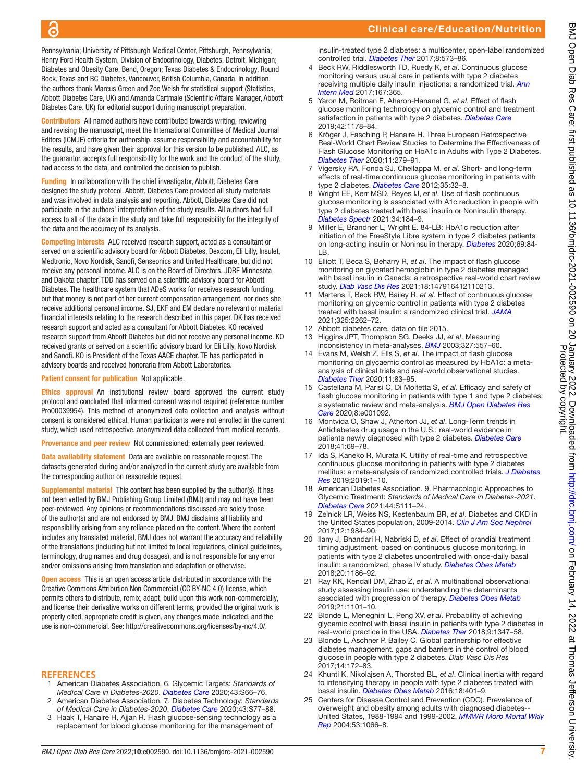# Clinical care/Education/Nutrition

Pennsylvania; University of Pittsburgh Medical Center, Pittsburgh, Pennsylvania; Henry Ford Health System, Division of Endocrinology, Diabetes, Detroit, Michigan; Diabetes and Obesity Care, Bend, Oregon; Texas Diabetes & Endocrinology, Round Rock, Texas and BC Diabetes, Vancouver, British Columbia, Canada. In addition, the authors thank Marcus Green and Zoe Welsh for statistical support (Statistics, Abbott Diabetes Care, UK) and Amanda Cartmale (Scientific Affairs Manager, Abbott Diabetes Care, UK) for editorial support during manuscript preparation.

 $\overline{\mathbf{c}}$ 

Contributors All named authors have contributed towards writing, reviewing and revising the manuscript, meet the International Committee of Medical Journal Editors (ICMJE) criteria for authorship, assume responsibility and accountability for the results, and have given their approval for this version to be published. ALC, as the guarantor, accepts full responsibility for the work and the conduct of the study, had access to the data, and controlled the decision to publish.

Funding In collaboration with the chief investigator, Abbott, Diabetes Care designed the study protocol. Abbott, Diabetes Care provided all study materials and was involved in data analysis and reporting. Abbott, Diabetes Care did not participate in the authors' interpretation of the study results. All authors had full access to all of the data in the study and take full responsibility for the integrity of the data and the accuracy of its analysis.

Competing interests ALC received research support, acted as a consultant or served on a scientific advisory board for Abbott Diabetes, Dexcom, Eli Lilly, Insulet, Medtronic, Novo Nordisk, Sanofi, Senseonics and United Healthcare, but did not receive any personal income. ALC is on the Board of Directors, JDRF Minnesota and Dakota chapter. TDD has served on a scientific advisory board for Abbott Diabetes. The healthcare system that ADeS works for receives research funding, but that money is not part of her current compensation arrangement, nor does she receive additional personal income. SJ, EKF and EM declare no relevant or material financial interests relating to the research described in this paper. DK has received research support and acted as a consultant for Abbott Diabetes. KO received research support from Abbott Diabetes but did not receive any personal income. KO received grants or served on a scientific advisory board for Eli Lilly, Novo Nordisk and Sanofi. KO is President of the Texas AACE chapter. TE has participated in advisory boards and received honoraria from Abbott Laboratories.

#### Patient consent for publication Not applicable.

Ethics approval An institutional review board approved the current study protocol and concluded that informed consent was not required (reference number Pro00039954). This method of anonymized data collection and analysis without consent is considered ethical. Human participants were not enrolled in the current study, which used retrospective, anonymized data collected from medical records.

Provenance and peer review Not commissioned; externally peer reviewed.

Data availability statement Data are available on reasonable request. The datasets generated during and/or analyzed in the current study are available from the corresponding author on reasonable request.

Supplemental material This content has been supplied by the author(s). It has not been vetted by BMJ Publishing Group Limited (BMJ) and may not have been peer-reviewed. Any opinions or recommendations discussed are solely those of the author(s) and are not endorsed by BMJ. BMJ disclaims all liability and responsibility arising from any reliance placed on the content. Where the content includes any translated material, BMJ does not warrant the accuracy and reliability of the translations (including but not limited to local regulations, clinical guidelines, terminology, drug names and drug dosages), and is not responsible for any error and/or omissions arising from translation and adaptation or otherwise.

**Open access** This is an open access article distributed in accordance with the Creative Commons Attribution Non Commercial (CC BY-NC 4.0) license, which permits others to distribute, remix, adapt, build upon this work non-commercially, and license their derivative works on different terms, provided the original work is properly cited, appropriate credit is given, any changes made indicated, and the use is non-commercial. See: <http://creativecommons.org/licenses/by-nc/4.0/>.

### **REFERENCES**

- <span id="page-8-0"></span>1 American Diabetes Association. 6. Glycemic Targets: *Standards of Medical Care in Diabetes-2020*. *[Diabetes Care](http://dx.doi.org/10.2337/dc20-S006)* 2020;43:S66–76.
- <span id="page-8-1"></span>2 American Diabetes Association. 7. Diabetes Technology: *Standards of Medical Care in Diabetes-2020*. *[Diabetes Care](http://dx.doi.org/10.2337/dc20-S007)* 2020;43:S77–88.
- <span id="page-8-2"></span>3 Haak T, Hanaire H, Ajjan R. Flash glucose-sensing technology as a replacement for blood glucose monitoring for the management of

insulin-treated type 2 diabetes: a multicenter, open-label randomized controlled trial. *[Diabetes Ther](http://dx.doi.org/10.1007/s13300-016-0223-6)* 2017;8:573–86.

- <span id="page-8-10"></span>4 Beck RW, Riddlesworth TD, Ruedy K, *et al*. Continuous glucose monitoring versus usual care in patients with type 2 diabetes receiving multiple daily insulin injections: a randomized trial. *[Ann](http://dx.doi.org/10.7326/M16-2855)  [Intern Med](http://dx.doi.org/10.7326/M16-2855)* 2017;167:365.
- <span id="page-8-13"></span>5 Yaron M, Roitman E, Aharon-Hananel G, *et al*. Effect of flash glucose monitoring technology on glycemic control and treatment satisfaction in patients with type 2 diabetes. *[Diabetes Care](http://dx.doi.org/10.2337/dc18-0166)* 2019;42:1178–84.
- <span id="page-8-17"></span>6 Kröger J, Fasching P, Hanaire H. Three European Retrospective Real-World Chart Review Studies to Determine the Effectiveness of Flash Glucose Monitoring on HbA1c in Adults with Type 2 Diabetes. *[Diabetes Ther](http://dx.doi.org/10.1007/s13300-019-00741-9)* 2020;11:279–91.
- <span id="page-8-3"></span>7 Vigersky RA, Fonda SJ, Chellappa M, *et al*. Short- and long-term effects of real-time continuous glucose monitoring in patients with type 2 diabetes. *[Diabetes Care](http://dx.doi.org/10.2337/dc11-1438)* 2012;35:32–8.
- <span id="page-8-9"></span>8 Wright EE, Kerr MSD, Reyes IJ, *et al*. Use of flash continuous glucose monitoring is associated with A1c reduction in people with type 2 diabetes treated with basal insulin or Noninsulin therapy. *[Diabetes Spectr](http://dx.doi.org/10.2337/ds20-0069)* 2021;34:184–9.
- <span id="page-8-7"></span>9 Miller E, Brandner L, Wright E. 84-LB: HbA1c reduction after initiation of the FreeStyle Libre system in type 2 diabetes patients on long-acting insulin or Noninsulin therapy. *[Diabetes](http://dx.doi.org/10.2337/db20-84-LB)* 2020;69:84- LB.
- <span id="page-8-4"></span>10 Elliott T, Beca S, Beharry R, *et al*. The impact of flash glucose monitoring on glycated hemoglobin in type 2 diabetes managed with basal insulin in Canada: a retrospective real-world chart review study. *[Diab Vasc Dis Res](http://dx.doi.org/10.1177/14791641211021374)* 2021;18:147916412110213.
- <span id="page-8-8"></span>11 Martens T, Beck RW, Bailey R, *et al*. Effect of continuous glucose monitoring on glycemic control in patients with type 2 diabetes treated with basal insulin: a randomized clinical trial. *[JAMA](http://dx.doi.org/10.1001/jama.2021.7444)* 2021;325:2262–72.
- <span id="page-8-5"></span>12 Abbott diabetes care. data on file 2015.
- <span id="page-8-6"></span>13 Higgins JPT, Thompson SG, Deeks JJ, *et al*. Measuring inconsistency in meta-analyses. *[BMJ](http://dx.doi.org/10.1136/bmj.327.7414.557)* 2003;327:557–60.
- <span id="page-8-11"></span>14 Evans M, Welsh Z, Ells S, *et al*. The impact of flash glucose monitoring on glycaemic control as measured by HbA1c: a metaanalysis of clinical trials and real-world observational studies. *[Diabetes Ther](http://dx.doi.org/10.1007/s13300-019-00720-0)* 2020;11:83–95.
- <span id="page-8-12"></span>15 Castellana M, Parisi C, Di Molfetta S, *et al*. Efficacy and safety of flash glucose monitoring in patients with type 1 and type 2 diabetes: a systematic review and meta-analysis. *[BMJ Open Diabetes Res](http://dx.doi.org/10.1136/bmjdrc-2019-001092)  [Care](http://dx.doi.org/10.1136/bmjdrc-2019-001092)* 2020;8:e001092.
- <span id="page-8-14"></span>16 Montvida O, Shaw J, Atherton JJ, *et al*. Long-Term trends in Antidiabetes drug usage in the U.S.: real-world evidence in patients newly diagnosed with type 2 diabetes. *[Diabetes Care](http://dx.doi.org/10.2337/dc17-1414)* 2018;41:69–78.
- <span id="page-8-15"></span>17 Ida S, Kaneko R, Murata K. Utility of real-time and retrospective continuous glucose monitoring in patients with type 2 diabetes mellitus: a meta-analysis of randomized controlled trials. *[J Diabetes](http://dx.doi.org/10.1155/2019/4684815)  [Res](http://dx.doi.org/10.1155/2019/4684815)* 2019;2019:1–10.
- <span id="page-8-16"></span>18 American Diabetes Association. 9. Pharmacologic Approaches to Glycemic Treatment: *Standards of Medical Care in Diabetes-2021*. *[Diabetes Care](http://dx.doi.org/10.2337/dc21-S009)* 2021;44:S111–24.
- 19 Zelnick LR, Weiss NS, Kestenbaum BR, *et al*. Diabetes and CKD in the United States population, 2009-2014. *[Clin J Am Soc Nephrol](http://dx.doi.org/10.2215/CJN.03700417)* 2017;12:1984–90.
- 20 Ilany J, Bhandari H, Nabriski D, *et al*. Effect of prandial treatment timing adjustment, based on continuous glucose monitoring, in patients with type 2 diabetes uncontrolled with once-daily basal insulin: a randomized, phase IV study. *[Diabetes Obes Metab](http://dx.doi.org/10.1111/dom.13214)* 2018;20:1186–92.
- <span id="page-8-19"></span>21 Ray KK, Kendall DM, Zhao Z, *et al*. A multinational observational study assessing insulin use: understanding the determinants associated with progression of therapy. *[Diabetes Obes Metab](http://dx.doi.org/10.1111/dom.13622)* 2019;21:1101–10.
- 22 Blonde L, Meneghini L, Peng XV, *et al*. Probability of achieving glycemic control with basal insulin in patients with type 2 diabetes in real-world practice in the USA. *[Diabetes Ther](http://dx.doi.org/10.1007/s13300-018-0413-5)* 2018;9:1347–58.
- <span id="page-8-18"></span>23 Blonde L, Aschner P, Bailey C. Global partnership for effective diabetes management. gaps and barriers in the control of blood glucose in people with type 2 diabetes. *Diab Vasc Dis Res* 2017;14:172–83.
- 24 Khunti K, Nikolajsen A, Thorsted BL, *et al*. Clinical inertia with regard to intensifying therapy in people with type 2 diabetes treated with basal insulin. *[Diabetes Obes Metab](http://dx.doi.org/10.1111/dom.12626)* 2016;18:401–9.
- 25 Centers for Disease Control and Prevention (CDC). Prevalence of overweight and obesity among adults with diagnosed diabetes-United States, 1988-1994 and 1999-2002. *[MMWR Morb Mortal Wkly](http://www.ncbi.nlm.nih.gov/pubmed/15549021)  [Rep](http://www.ncbi.nlm.nih.gov/pubmed/15549021)* 2004;53:1066–8.